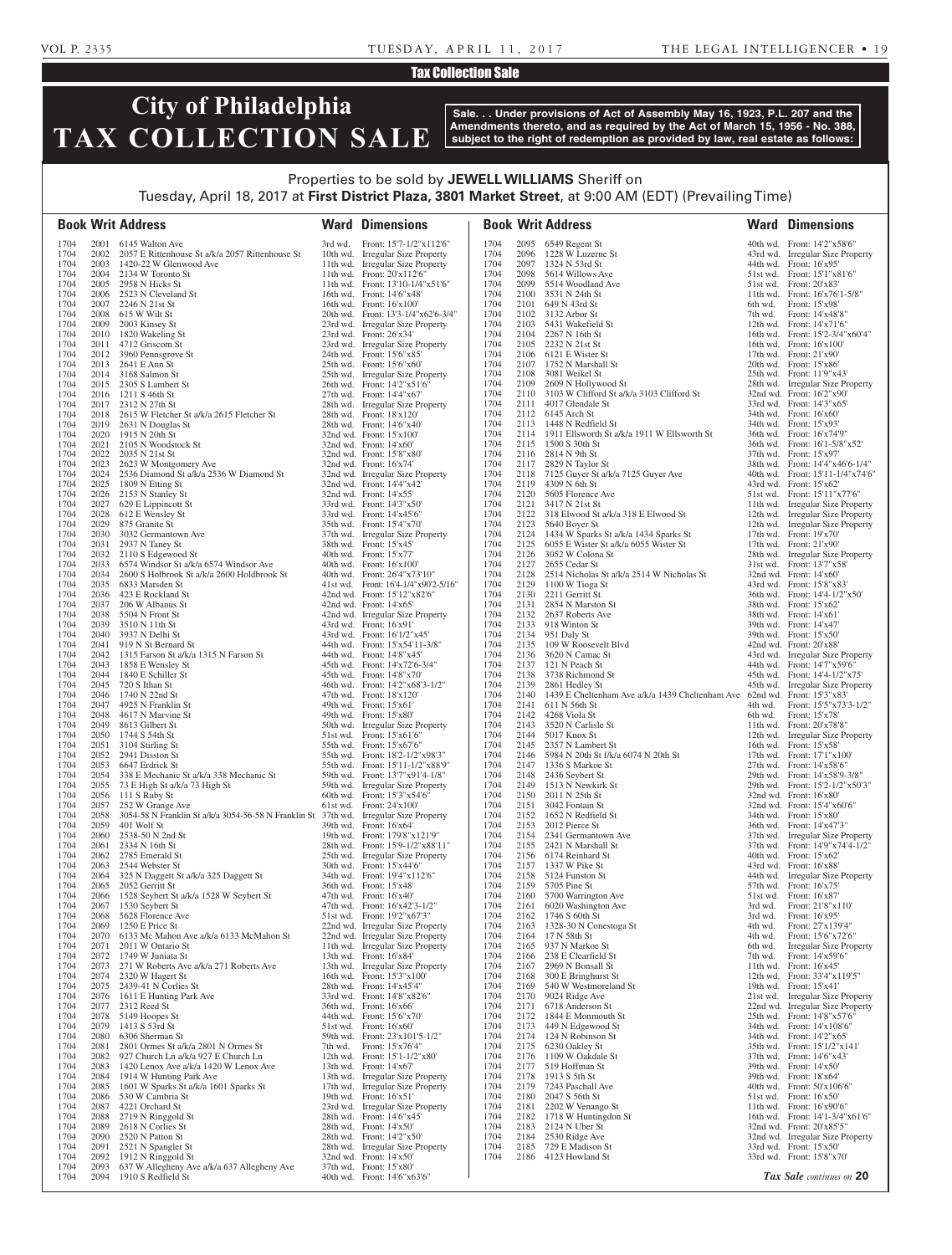# Tax Collection Sale

# **City of Philadelphia TAX COLLECTION SALE**

**Sale. . . Under provisions of Act of Assembly May 16, 1923, P.L. 207 and the Amendments thereto, and as required by the Act of March 15, 1956 - No. 388, subject to the right of redemption as provided by law, real estate as follows:**

## Properties to be sold by **JEWELL WILLIAMS** Sheriff on Tuesday, April 18, 2017 at **First District Plaza, 3801 Market Street**, at 9:00 AM (EDT) (Prevailing Time)

|              |              | <b>Book Writ Address</b>                                                                                  |         | <b>Ward Dimensions</b>                                                  |              |              | <b>Book Writ Address</b>                                                            |                    | <b>Ward Dimensions</b>                                            |
|--------------|--------------|-----------------------------------------------------------------------------------------------------------|---------|-------------------------------------------------------------------------|--------------|--------------|-------------------------------------------------------------------------------------|--------------------|-------------------------------------------------------------------|
| 1704         |              | 2001 6145 Walton Ave                                                                                      |         | 3rd wd. Front: 15'7-1/2"x112'6"                                         | 1704         |              | 2095 6549 Regent St                                                                 |                    | 40th wd. Front: 14'2"x58'6"                                       |
| 1704         |              | 2002 2057 E Rittenhouse St a/k/a 2057 Rittenhouse St                                                      |         | 10th wd. Irregular Size Property                                        | 1704         | 2096         | 1228 W Luzerne St                                                                   |                    | 43rd wd. Irregular Size Property                                  |
| 1704<br>1704 | 2003         | 1420-22 W Glenwood Ave<br>2004 2134 W Toronto St                                                          |         | 11th wd. Irregular Size Property<br>11th wd. Front: 20'x112'6"          | 1704<br>1704 |              | 2097 1324 N 53rd St<br>2098 5614 Willows Ave                                        |                    | 44th wd. Front: 16'x95'<br>51st wd. Front: 15'1"x81'6"            |
| 1704         |              | 2005 2958 N Hicks St                                                                                      |         | 11th wd. Front: 13'10-1/4"x51'6"                                        | 1704         | 2099         | 5514 Woodland Ave                                                                   |                    | 51st wd. Front: 20'x83'                                           |
| 1704         |              | 2006 2523 N Cleveland St                                                                                  |         | 16th wd. Front: 14'6"x48"                                               | 1704         |              | 2100 3531 N 24th St                                                                 |                    | 11th wd. Front: 16'x76'1-5/8"                                     |
| 1704         |              | 2007 2246 N 21st St                                                                                       |         | 16th wd. Front: 16'x100'                                                | 1704         |              | 2101 649 N 43rd St                                                                  | 6th wd.            | Front: 15'x98'                                                    |
| 1704<br>1704 |              | 2008 615 W Wilt St<br>2009 2003 Kinsey St                                                                 |         | 20th wd. Front: 13'3-1/4"x62'6-3/4"<br>23rd wd. Irregular Size Property | 1704<br>1704 |              | 2102 3132 Arbor St<br>2103 5431 Wakefield St                                        | 7th wd.            | Front: 14'x48'8"<br>12th wd. Front: 14'x71'6"                     |
| 1704         |              | 2010 1820 Wakeling St                                                                                     |         | 23rd wd. Front: 26'x34'                                                 | 1704         |              | 2104 2267 N 16th St                                                                 |                    | 16th wd. Front: 15'2-3/4"x60'4"                                   |
| 1704         |              | 2011 4712 Griscom St                                                                                      |         | 23rd wd. Irregular Size Property                                        | 1704         |              | 2105 2232 N 21st St                                                                 |                    | 16th wd. Front: 16'x100'                                          |
| 1704         |              | 2012 3960 Pennsgrove St                                                                                   |         | 24th wd. Front: 15'6"x85"                                               | 1704         |              | 2106 6121 E Wister St                                                               |                    | 17th wd. Front: $21'x90'$                                         |
| 1704<br>1704 |              | 2013 2641 E Ann St<br>2014 3168 Salmon St                                                                 |         | 25th wd. Front: 15'6"x60"<br>25th wd. Irregular Size Property           | 1704<br>1704 |              | 2107 1752 N Marshall St<br>2108 3081 Weikel St                                      |                    | 20th wd. Front: $15'x86'$<br>25th wd. Front: 11'9"x43'            |
| 1704         |              | 2015 2305 S Lambert St                                                                                    |         | 26th wd. Front: 14'2"x51'6"                                             | 1704         | 2109         | 2609 N Hollywood St                                                                 |                    | 28th wd. Irregular Size Property                                  |
| 1704         |              | 2016 1211 S 46th St                                                                                       |         | 27th wd. Front: 14'4"x67'                                               | 1704         |              | 2110 3103 W Clifford St a/k/a 3103 Clifford St                                      |                    | 32nd wd. Front: 16'2"x90"                                         |
| 1704<br>1704 |              | 2017 2312 N 27th St<br>2018 2615 W Fletcher St a/k/a 2615 Fletcher St                                     |         | 28th wd. Irregular Size Property<br>28th wd. Front: 18'x120'            | 1704<br>1704 | 2111         | 4017 Glendale St<br>2112 6145 Arch St                                               |                    | 33rd wd. Front: 14'3"x65"<br>34th wd. Front: 16'x60'              |
| 1704         |              | 2019 2631 N Douglas St                                                                                    |         | 28th wd. Front: 14'6"x40"                                               | 1704         |              | 2113 1448 N Redfield St                                                             |                    | 34th wd. Front: 15'x93'                                           |
| 1704         |              | 2020 1915 N 20th St                                                                                       |         | $32nd$ wd. Front: $15'x100'$                                            | 1704         |              | 2114 1911 Ellsworth St a/k/a 1911 W Ellsworth St                                    |                    | 36th wd. Front: 16'x74'9"                                         |
| 1704<br>1704 |              | 2021 2105 N Woodstock St<br>2022 2035 N 21st St                                                           |         | 32nd wd. Front: 14'x60'<br>32nd wd. Front: 15'8"x80"                    | 1704<br>1704 |              | 2115 1500 S 30th St<br>2116 2814 N 9th St                                           |                    | 36th wd. Front: 16'1-5/8"x52"<br>37th wd. Front: 15'x97'          |
| 1704         |              | 2023 2623 W Montgomery Ave                                                                                |         | 32nd wd. Front: 16'x74'                                                 | 1704         |              | 2117 2829 N Taylor St                                                               |                    | 38th wd. Front: 14'4"x46'6-1/4"                                   |
| 1704         | 2024         | 2536 Diamond St a/k/a 2536 W Diamond St                                                                   |         | 32nd wd. Irregular Size Property                                        | 1704         |              | 2118 7125 Guyer St a/k/a 7125 Guyer Ave                                             |                    | 40th wd. Front: 15'11-1/4"x74'6"                                  |
| 1704         |              | 2025 1809 N Etting St                                                                                     |         | 32nd wd. Front: 14'4"x42'                                               | 1704         |              | 2119 4309 N 6th St                                                                  |                    | 43rd wd. Front: $15'x62'$                                         |
| 1704<br>1704 | 2027         | 2026 2153 N Stanley St<br>629 E Lippincott St                                                             |         | $32nd$ wd. Front: $14'x55'$<br>33rd wd. Front: 14'3"x50"                | 1704<br>1704 | 2120<br>2121 | 5605 Florence Ave<br>3417 N 21st St                                                 |                    | 51st wd. Front: 15'11"x77'6"<br>11th wd. Irregular Size Property  |
| 1704         | 2028         | 612 E Wensley St                                                                                          |         | 33rd wd. Front: 14'x45'6"                                               | 1704         |              | 2122 318 Elwood St a/k/a 318 E Elwood St                                            |                    | 12th wd. Irregular Size Property                                  |
| 1704         | 2029         | 875 Granite St                                                                                            |         | 35th wd. Front: 15'4"x70"                                               | 1704         | 2123         | 5640 Boyer St                                                                       |                    | 12th wd. Irregular Size Property                                  |
| 1704<br>1704 | 2031         | 2030 3032 Germantown Ave<br>2937 N Taney St                                                               |         | 37th wd. Irregular Size Property<br>38th wd. Front: 15'x45'             | 1704<br>1704 | 2125         | 2124 1434 W Sparks St a/k/a 1434 Sparks St<br>6055 E Wister St a/k/a 6055 Wister St |                    | 17th wd. Front: 19'x70'<br>17th wd. Front: 21'x90'                |
| 1704         |              | 2032 2110 S Edgewood St                                                                                   |         | 40th wd. Front: 15'x77'                                                 | 1704         |              | 2126 3052 W Colona St                                                               |                    | 28th wd. Irregular Size Property                                  |
| 1704         | 2033         | 6574 Windsor St a/k/a 6574 Windsor Ave                                                                    |         | 40th wd. Front: 16'x100'                                                | 1704         | 2127         | 2655 Cedar St                                                                       |                    | 31st wd. Front: 13'7"x58"                                         |
| 1704         | 2034         | 2600 S Holbrook St a/k/a 2600 Holdbrook St                                                                |         | 40th wd. Front: 26'4"x73'10"                                            | 1704         | 2128         | 2514 Nicholas St a/k/a 2514 W Nicholas St                                           |                    | 32nd wd. Front: 14'x60'                                           |
| 1704<br>1704 | 2035         | 6833 Marsden St<br>2036 423 E Rockland St                                                                 |         | 41st wd. Front: 16'4-1/4"x90'2-5/16"<br>42nd wd. Front: 15'12"x82'6"    | 1704<br>1704 | 2129<br>2130 | 1100 W Tioga St<br>2211 Gerritt St                                                  |                    | 43rd wd. Front: 15'8"x83"<br>36th wd. Front: 14'4-1/2"x50"        |
| 1704         |              | 2037 206 W Albanus St                                                                                     |         | 42nd wd. Front: $14'x65'$                                               | 1704         | 2131         | 2854 N Marston St                                                                   |                    | 38th wd. Front: 15'x62'                                           |
| 1704         | 2038         | 5504 N Front St                                                                                           |         | 42nd wd. Irregular Size Property                                        | 1704         |              | 2132 2637 Roberts Ave                                                               |                    | 38th wd. Front: 14'x61'                                           |
| 1704<br>1704 |              | 2039 3510 N 11th St                                                                                       |         | 43rd wd. Front: 16'x91'<br>43rd wd. Front: 16'1/2"x45"                  | 1704<br>1704 |              | 2133 918 Winton St<br>2134 951 Daly St                                              |                    | 39th wd. Front: 14'x47'<br>39th wd. Front: 15'x50'                |
| 1704         |              | 2040 3937 N Delhi St<br>2041 919 N St Bernard St                                                          |         | 44th wd. Front: 15'x54'11-3/8"                                          | 1704         |              | 2135 109 W Roosevelt Blvd                                                           |                    | 42nd wd. Front: $20'x88'$                                         |
| 1704         |              | 2042 1315 Farson St a/k/a 1315 N Farson St                                                                |         | 44th wd. Front: 14'8"x45"                                               | 1704         |              | 2136 3620 N Camac St                                                                |                    | 43rd wd. Irregular Size Property                                  |
| 1704         | 2043         | 1858 E Wensley St                                                                                         |         | 45th wd. Front: 14'x72'6-3/4"                                           | 1704         | 2137         | 121 N Peach St                                                                      |                    | 44th wd. Front: 14'7"x59'6"                                       |
| 1704<br>1704 | 2044         | 1840 E Schiller St<br>2045 720 S Ithan St                                                                 |         | 45th wd. Front: 14'8"x70"<br>46th wd. Front: 14'2"x68'3-1/2"            | 1704<br>1704 | 2139         | 2138 3738 Richmond St<br>2861 Hedley St                                             |                    | 45th wd. Front: 14'4-1/2"x75'<br>45th wd. Irregular Size Property |
| 1704         |              | 2046 1740 N 22nd St                                                                                       |         | 47th wd. Front: 18'x120'                                                | 1704         |              | 2140 1439 E Cheltenham Ave a/k/a 1439 Cheltenham Ave 62nd wd. Front: 15'3"x83"      |                    |                                                                   |
| 1704         | 2047         | 4925 N Franklin St                                                                                        |         | 49th wd. Front: 15'x61'                                                 | 1704         |              | 2141 611 N 56th St                                                                  |                    | 4th wd. Front: 15'5"x73'3-1/2"                                    |
| 1704<br>1704 | 2049         | 2048 4617 N Marvine St<br>8613 Gilbert St                                                                 |         | 49th wd. Front: 15'x80'                                                 | 1704<br>1704 |              | 2142 4268 Viola St<br>2143 3520 N Carlisle St                                       | 6th wd.            | Front: 15'x78'<br>11th wd. Front: 20'x78'8"                       |
| 1704         |              | 2050 1744 S 54th St                                                                                       |         | 50th wd. Irregular Size Property<br>51st wd. Front: 15'x61'6"           | 1704         |              | 2144 5017 Knox St                                                                   |                    | 12th wd. Irregular Size Property                                  |
| 1704         |              | 2051 3104 Stirling St                                                                                     |         | 55th wd. Front: 15'x67'6"                                               | 1704         | 2145         | 2357 N Lambert St                                                                   |                    | 16th wd. Front: 15'x58'                                           |
| 1704         | 2052         | 2941 Disston St                                                                                           |         | 55th wd. Front: 18'2-1/2"x98'3"                                         | 1704         | 2146         | 5984 N 20th St f/k/a 6074 N 20th St                                                 |                    | 17th wd. Front: 17'1"x100"                                        |
| 1704<br>1704 | 2053<br>2054 | 6647 Erdrick St<br>338 E Mechanic St a/k/a 338 Mechanic St                                                |         | 55th wd. Front: 15'11-1/2"x88'9"<br>59th wd. Front: 13'7"x91'4-1/8"     | 1704<br>1704 | 2147<br>2148 | 1336 S Markoe St<br>2436 Seybert St                                                 |                    | 27th wd. Front: $14'x58'6''$<br>29th wd. Front: 14'x58'9-3/8"     |
| 1704         |              | 2055 73 E High St a/k/a 73 High St                                                                        |         | 59th wd. Irregular Size Property                                        | 1704         | 2149         | 1513 N Newkirk St                                                                   |                    | 29th wd. Front: 15'2-1/2"x50'3"                                   |
| 1704         | 2056         | 111 S Ruby St                                                                                             |         | 60th wd. Front: 15'3"x54'6"                                             | 1704         | 2150         | 2011 N 25th St                                                                      |                    | 32nd wd. Front: 16'x80'                                           |
| 1704<br>1704 | 2057<br>2058 | 252 W Grange Ave<br>3054-58 N Franklin St a/k/a 3054-56-58 N Franklin St 37th wd. Irregular Size Property |         | 61st wd. Front: 24'x100'                                                | 1704<br>1704 | 2151<br>2152 | 3042 Fontain St<br>1652 N Redfield St                                               |                    | 32nd wd. Front: 15'4"x60'6"<br>34th wd. Front: 15'x80'            |
| 1704         | 2059         | 401 Wolf St                                                                                               |         | 39th wd. Front: 16'x64'                                                 | 1704         | 2153         | 2012 Pierce St                                                                      |                    | 36th wd. Front: 14'x47'3"                                         |
| 1704         | 2060         | 2538-50 N 2nd St                                                                                          |         | 19th wd. Front: 179'8"x121'9"                                           | 1704         |              | 2154 2341 Germantown Ave                                                            |                    | 37th wd. Irregular Size Property                                  |
| 1704<br>1704 | 2061<br>2062 | 2334 N 16th St<br>2785 Emerald St                                                                         |         | 28th wd. Front: 15'9-1/2"x88'11"<br>25th wd. Irregular Size Property    | 1704<br>1704 |              | 2155 2421 N Marshall St<br>2156 6174 Reinhard St                                    |                    | 37th wd. Front: 14'9"x74'4-1/2"<br>40th wd. Front: 15'x62'        |
| 1704         | 2063         | 2544 Webster St                                                                                           |         | 30th wd. Front: 15'x44'6"                                               | 1704         |              | 2157 1337 W Pike St                                                                 |                    | 43rd wd. Front: 16'x88'                                           |
| 1704         | 2064         | 325 N Daggett St a/k/a 325 Daggett St                                                                     |         | 34th wd. Front: 19'4"x112'6"                                            | 1704         |              | 2158 5124 Funston St                                                                |                    | 44th wd. Irregular Size Property                                  |
| 1704<br>1704 | 2065<br>2066 | 2052 Gerritt St<br>1528 Seybert St a/k/a 1528 W Seybert St                                                |         | 36th wd. Front: 15'x48'<br>47th wd. Front: 16'x40'                      | 1704<br>1704 | 2159<br>2160 | 5705 Pine St<br>5700 Warrington Ave                                                 |                    | 57th wd. Front: 16'x75'<br>51st wd. Front: 16'x87'                |
| 1704         | 2067         | 1530 Seybert St                                                                                           |         | 47th wd. Front: 16'x42'3-1/2"                                           | 1704         | 2161         | 6020 Washington Ave                                                                 | 3rd wd.            | Front: 21'8"x110"                                                 |
| 1704         | 2068         | 5628 Florence Ave                                                                                         |         | 51st wd. Front: 19'2"x67'3"                                             | 1704         | 2162         | 1746 S 60th St                                                                      | 3rd wd.            | Front: 16'x95'                                                    |
| 1704<br>1704 | 2069<br>2070 | 1250 E Price St<br>6133 Mc Mahon Ave a/k/a 6133 McMahon St                                                |         | 22nd wd. Irregular Size Property<br>22nd wd. Irregular Size Property    | 1704<br>1704 | 2163<br>2164 | 1328-30 N Conestoga St<br>17 N 58th St                                              | 4th wd.<br>4th wd. | Front: 27'x139'4"<br>Front: 15'6"x72'6"                           |
| 1704         | 2071         | 2011 W Ontario St                                                                                         |         | 11th wd. Irregular Size Property                                        | 1704         |              | 2165 937 N Markoe St                                                                | 6th wd.            | <b>Irregular Size Property</b>                                    |
| 1704         | 2072         | 1749 W Juniata St                                                                                         |         | 13th wd. Front: 16'x84'                                                 | 1704         | 2166         | 238 E Clearfield St                                                                 | 7th wd.            | Front: 14'x59'6"                                                  |
| 1704         |              | 2073 271 W Roberts Ave a/k/a 271 Roberts Ave                                                              |         | 13th wd. Irregular Size Property                                        | 1704         | 2167         | 2969 N Bonsall St                                                                   |                    | 11th wd. Front: 16'x45'                                           |
| 1704<br>1704 | 2074<br>2075 | 2320 W Hagert St<br>2439-41 N Corlies St                                                                  |         | 16th wd. Front: 15'3"x100"<br>28th wd. Front: 14'x45'4"                 | 1704<br>1704 | 2168<br>2169 | 300 E Bringhurst St<br>540 W Westmoreland St                                        |                    | 12th wd. Front: 33'4"x119'5"<br>19th wd. Front: 15'x41'           |
| 1704         | 2076         | 1611 E Hunting Park Ave                                                                                   |         | 33rd wd. Front: 14'8"x82'6"                                             | 1704         | 2170         | 9024 Ridge Ave                                                                      |                    | 21st wd. Irregular Size Property                                  |
| 1704         | 2077         | 2312 Reed St                                                                                              |         | 36th wd. Front: 16'x66'                                                 | 1704         | 2171         | 6718 Anderson St                                                                    |                    | 22nd wd. Irregular Size Property                                  |
| 1704<br>1704 | 2079         | 2078 5149 Hoopes St<br>1413 S 53rd St                                                                     |         | 44th wd. Front: 15'6"x70"<br>51st wd. Front: 16'x60'                    | 1704<br>1704 | 2173         | 2172 1844 E Monmouth St<br>449 N Edgewood St                                        |                    | 25th wd. Front: 14'8"x57'6"<br>34th wd. Front: 14'x108'6"         |
| 1704         | 2080         | 6306 Sherman St                                                                                           |         | 59th wd. Front: 23'x101'5-1/2"                                          | 1704         |              | 2174 124 N Robinson St                                                              |                    | 34th wd. Front: 14'2"x65"                                         |
| 1704         | 2081         | 2801 Ormes St a/k/a 2801 N Ormes St                                                                       | 7th wd. | Front: 15'x76'4"                                                        | 1704         | 2175         | 6230 Oakley St                                                                      |                    | 35th wd. Front: 15'1/2"x141'                                      |
| 1704<br>1704 | 2082<br>2083 | 927 Church Ln a/k/a 927 E Church Ln<br>1420 Lenox Ave a/k/a 1420 W Lenox Ave                              |         | 12th wd. Front: 15'1-1/2"x80"<br>13th wd. Front: 14'x67'                | 1704<br>1704 | 2176<br>2177 | 1109 W Oakdale St<br>519 Hoffman St                                                 |                    | 37th wd. Front: 14'6"x43"<br>39th wd. Front: 14'x50'              |
| 1704         | 2084         | 1914 W Hunting Park Ave                                                                                   |         | 13th wd. Irregular Size Property                                        | 1704         | 2178         | 1913 S 5th St                                                                       |                    | 39th wd. Front: 18'x64'                                           |
| 1704         | 2085         | 1601 W Sparks St a/k/a 1601 Sparks St                                                                     |         | 17th wd. Irregular Size Property                                        | 1704         |              | 2179 7243 Paschall Ave                                                              |                    | 40th wd. Front: 50'x106'6"                                        |
| 1704<br>1704 | 2086<br>2087 | 530 W Cambria St                                                                                          |         | 19th wd. Front: 16'x51'<br>23rd wd. Irregular Size Property             | 1704<br>1704 | 2180         | 2047 S 56th St<br>2202 W Venango St                                                 |                    | $51st$ wd. Front: $16'x50'$                                       |
| 1704         | 2088         | 4221 Orchard St<br>2719 N Ringgold St                                                                     |         | 28th wd. Front: 14'6"x45"                                               | 1704         | 2181<br>2182 | 1718 W Huntingdon St                                                                |                    | 11th wd. Front: 16'x90'6"<br>16th wd. Front: 14'1-3/4"x61'6"      |
| 1704         | 2089         | 2618 N Corlies St                                                                                         |         | 28th wd. Front: 14'x50'                                                 | 1704         |              | 2183 2124 N Uber St                                                                 |                    | 32nd wd. Front: 20'x85'5"                                         |
| 1704         | 2090         | 2520 N Patton St                                                                                          |         | 28th wd. Front: 14'2"x50"                                               | 1704         | 2184         | 2530 Ridge Ave                                                                      |                    | 32nd wd. Irregular Size Property                                  |
| 1704<br>1704 | 2091<br>2092 | 2521 N Spangler St<br>1912 N Ringgold St                                                                  |         | 28th wd. Irregular Size Property<br>32nd wd. Front: 14'x50'             | 1704<br>1704 | 2185<br>2186 | 729 E Madison St<br>4123 Howland St                                                 |                    | 33rd wd. Front: 15'x50'<br>33rd wd. Front: 15'8"x70"              |
| 1704         | 2093         | 637 W Allegheny Ave a/k/a 637 Allegheny Ave                                                               |         | 37th wd. Front: 15'x80'                                                 |              |              |                                                                                     |                    |                                                                   |
| 1704         | 2094         | 1910 S Redfield St                                                                                        |         | 40th wd. Front: 14'6"x63'6"                                             |              |              |                                                                                     |                    | Tax Sale continues on 20                                          |